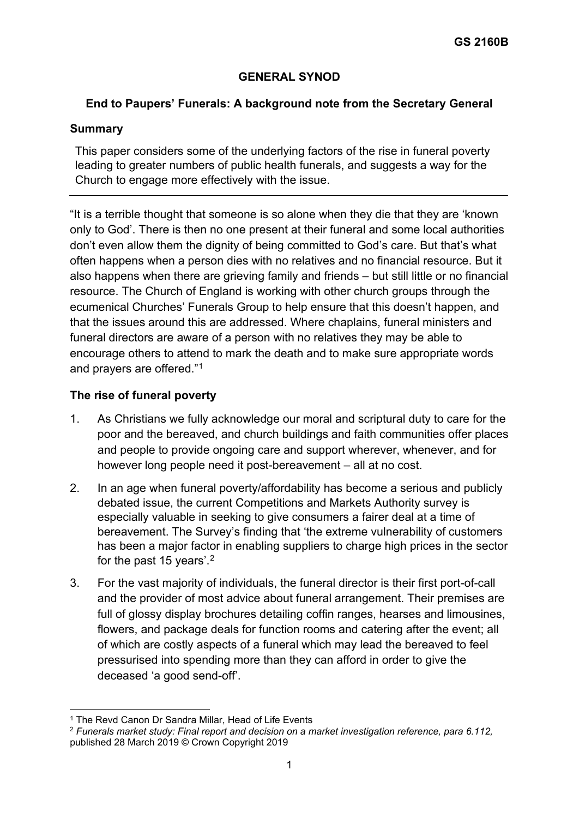# **GENERAL SYNOD**

### **End to Paupers' Funerals: A background note from the Secretary General**

## **Summary**

This paper considers some of the underlying factors of the rise in funeral poverty leading to greater numbers of public health funerals, and suggests a way for the Church to engage more effectively with the issue.

"It is a terrible thought that someone is so alone when they die that they are 'known only to God'. There is then no one present at their funeral and some local authorities don't even allow them the dignity of being committed to God's care. But that's what often happens when a person dies with no relatives and no financial resource. But it also happens when there are grieving family and friends – but still little or no financial resource. The Church of England is working with other church groups through the ecumenical Churches' Funerals Group to help ensure that this doesn't happen, and that the issues around this are addressed. Where chaplains, funeral ministers and funeral directors are aware of a person with no relatives they may be able to encourage others to attend to mark the death and to make sure appropriate words and prayers are offered."[1](#page-0-0)

# **The rise of funeral poverty**

- 1. As Christians we fully acknowledge our moral and scriptural duty to care for the poor and the bereaved, and church buildings and faith communities offer places and people to provide ongoing care and support wherever, whenever, and for however long people need it post-bereavement – all at no cost.
- 2. In an age when funeral poverty/affordability has become a serious and publicly debated issue, the current Competitions and Markets Authority survey is especially valuable in seeking to give consumers a fairer deal at a time of bereavement. The Survey's finding that 'the extreme vulnerability of customers has been a major factor in enabling suppliers to charge high prices in the sector for the past 15 years'. $^{\rm 2}$  $^{\rm 2}$  $^{\rm 2}$
- 3. For the vast majority of individuals, the funeral director is their first port-of-call and the provider of most advice about funeral arrangement. Their premises are full of glossy display brochures detailing coffin ranges, hearses and limousines, flowers, and package deals for function rooms and catering after the event; all of which are costly aspects of a funeral which may lead the bereaved to feel pressurised into spending more than they can afford in order to give the deceased 'a good send-off'.

<span id="page-0-0"></span><sup>1</sup> The Revd Canon Dr Sandra Millar, Head of Life Events

<span id="page-0-1"></span><sup>2</sup> *Funerals market study: Final report and decision on a market investigation reference, para 6.112,* published 28 March 2019 © Crown Copyright 2019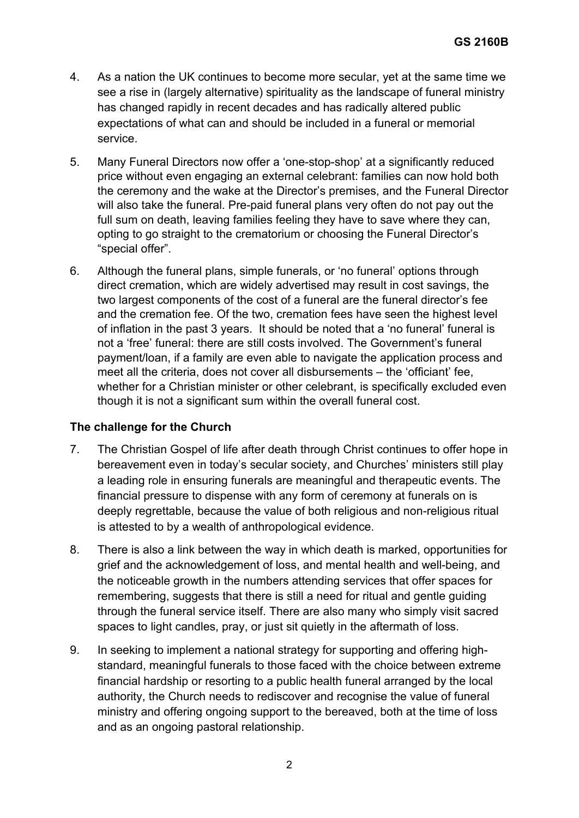- 4. As a nation the UK continues to become more secular, yet at the same time we see a rise in (largely alternative) spirituality as the landscape of funeral ministry has changed rapidly in recent decades and has radically altered public expectations of what can and should be included in a funeral or memorial service.
- 5. Many Funeral Directors now offer a 'one-stop-shop' at a significantly reduced price without even engaging an external celebrant: families can now hold both the ceremony and the wake at the Director's premises, and the Funeral Director will also take the funeral. Pre-paid funeral plans very often do not pay out the full sum on death, leaving families feeling they have to save where they can, opting to go straight to the crematorium or choosing the Funeral Director's "special offer".
- 6. Although the funeral plans, simple funerals, or 'no funeral' options through direct cremation, which are widely advertised may result in cost savings, the two largest components of the cost of a funeral are the funeral director's fee and the cremation fee. Of the two, cremation fees have seen the highest level of inflation in the past 3 years. It should be noted that a 'no funeral' funeral is not a 'free' funeral: there are still costs involved. The Government's funeral payment/loan, if a family are even able to navigate the application process and meet all the criteria, does not cover all disbursements – the 'officiant' fee, whether for a Christian minister or other celebrant, is specifically excluded even though it is not a significant sum within the overall funeral cost.

# **The challenge for the Church**

- 7. The Christian Gospel of life after death through Christ continues to offer hope in bereavement even in today's secular society, and Churches' ministers still play a leading role in ensuring funerals are meaningful and therapeutic events. The financial pressure to dispense with any form of ceremony at funerals on is deeply regrettable, because the value of both religious and non-religious ritual is attested to by a wealth of anthropological evidence.
- 8. There is also a link between the way in which death is marked, opportunities for grief and the acknowledgement of loss, and mental health and well-being, and the noticeable growth in the numbers attending services that offer spaces for remembering, suggests that there is still a need for ritual and gentle guiding through the funeral service itself. There are also many who simply visit sacred spaces to light candles, pray, or just sit quietly in the aftermath of loss.
- 9. In seeking to implement a national strategy for supporting and offering highstandard, meaningful funerals to those faced with the choice between extreme financial hardship or resorting to a public health funeral arranged by the local authority, the Church needs to rediscover and recognise the value of funeral ministry and offering ongoing support to the bereaved, both at the time of loss and as an ongoing pastoral relationship.